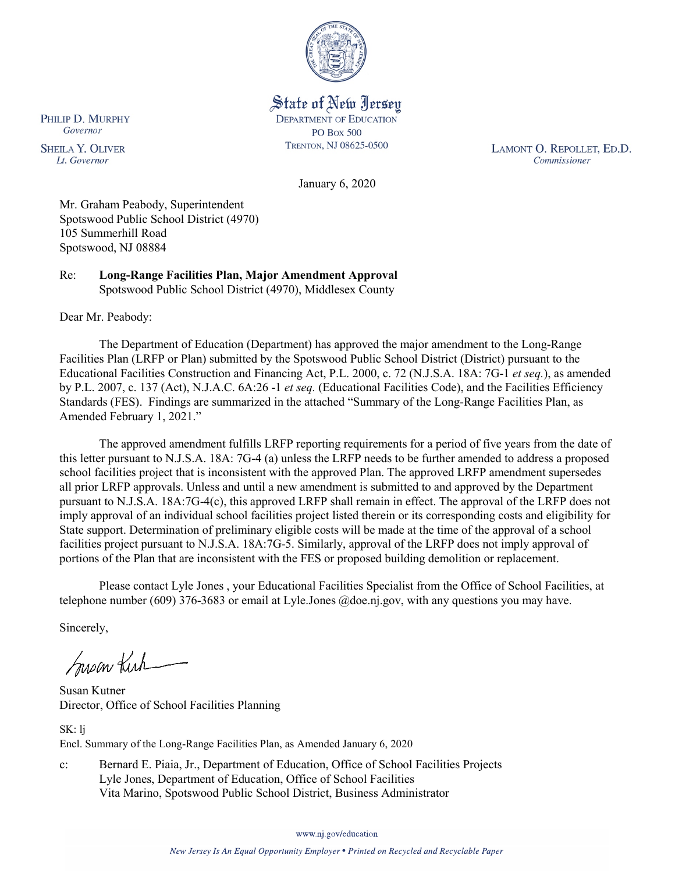

State of New Jersey **DEPARTMENT OF EDUCATION PO Box 500** TRENTON, NJ 08625-0500

LAMONT O. REPOLLET, ED.D. Commissioner

January 6, 2020

Mr. Graham Peabody, Superintendent Spotswood Public School District (4970) 105 Summerhill Road Spotswood, NJ 08884

Re: **Long-Range Facilities Plan, Major Amendment Approval** Spotswood Public School District (4970), Middlesex County

Dear Mr. Peabody:

The Department of Education (Department) has approved the major amendment to the Long-Range Facilities Plan (LRFP or Plan) submitted by the Spotswood Public School District (District) pursuant to the Educational Facilities Construction and Financing Act, P.L. 2000, c. 72 (N.J.S.A. 18A: 7G-1 *et seq.*), as amended by P.L. 2007, c. 137 (Act), N.J.A.C. 6A:26 -1 *et seq.* (Educational Facilities Code), and the Facilities Efficiency Standards (FES). Findings are summarized in the attached "Summary of the Long-Range Facilities Plan, as Amended February 1, 2021."

The approved amendment fulfills LRFP reporting requirements for a period of five years from the date of this letter pursuant to N.J.S.A. 18A: 7G-4 (a) unless the LRFP needs to be further amended to address a proposed school facilities project that is inconsistent with the approved Plan. The approved LRFP amendment supersedes all prior LRFP approvals. Unless and until a new amendment is submitted to and approved by the Department pursuant to N.J.S.A. 18A:7G-4(c), this approved LRFP shall remain in effect. The approval of the LRFP does not imply approval of an individual school facilities project listed therein or its corresponding costs and eligibility for State support. Determination of preliminary eligible costs will be made at the time of the approval of a school facilities project pursuant to N.J.S.A. 18A:7G-5. Similarly, approval of the LRFP does not imply approval of portions of the Plan that are inconsistent with the FES or proposed building demolition or replacement.

Please contact Lyle Jones , your Educational Facilities Specialist from the Office of School Facilities, at telephone number (609) 376-3683 or email at Lyle.Jones @doe.nj.gov, with any questions you may have.

Sincerely,

Susan Kich

Susan Kutner Director, Office of School Facilities Planning

SK: lj Encl. Summary of the Long-Range Facilities Plan, as Amended January 6, 2020

c: Bernard E. Piaia, Jr., Department of Education, Office of School Facilities Projects Lyle Jones, Department of Education, Office of School Facilities Vita Marino, Spotswood Public School District, Business Administrator

www.nj.gov/education

PHILIP D. MURPHY Governor

**SHEILA Y. OLIVER** Lt. Governor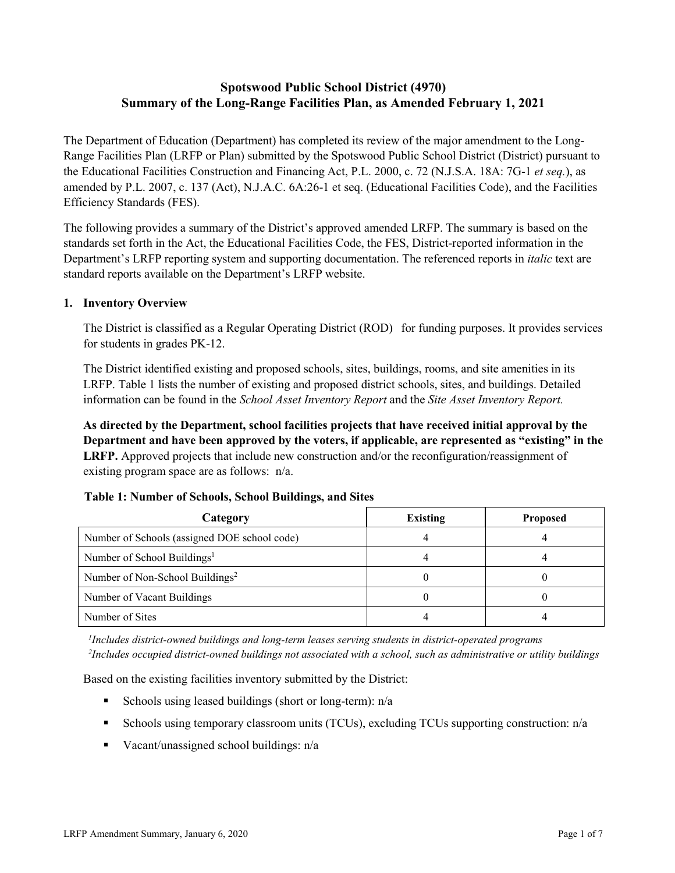# **Spotswood Public School District (4970) Summary of the Long-Range Facilities Plan, as Amended February 1, 2021**

The Department of Education (Department) has completed its review of the major amendment to the Long-Range Facilities Plan (LRFP or Plan) submitted by the Spotswood Public School District (District) pursuant to the Educational Facilities Construction and Financing Act, P.L. 2000, c. 72 (N.J.S.A. 18A: 7G-1 *et seq.*), as amended by P.L. 2007, c. 137 (Act), N.J.A.C. 6A:26-1 et seq. (Educational Facilities Code), and the Facilities Efficiency Standards (FES).

The following provides a summary of the District's approved amended LRFP. The summary is based on the standards set forth in the Act, the Educational Facilities Code, the FES, District-reported information in the Department's LRFP reporting system and supporting documentation. The referenced reports in *italic* text are standard reports available on the Department's LRFP website.

### **1. Inventory Overview**

The District is classified as a Regular Operating District (ROD) for funding purposes. It provides services for students in grades PK-12.

The District identified existing and proposed schools, sites, buildings, rooms, and site amenities in its LRFP. Table 1 lists the number of existing and proposed district schools, sites, and buildings. Detailed information can be found in the *School Asset Inventory Report* and the *Site Asset Inventory Report.*

**As directed by the Department, school facilities projects that have received initial approval by the Department and have been approved by the voters, if applicable, are represented as "existing" in the LRFP.** Approved projects that include new construction and/or the reconfiguration/reassignment of existing program space are as follows: n/a.

| Category                                     | <b>Existing</b> | <b>Proposed</b> |
|----------------------------------------------|-----------------|-----------------|
| Number of Schools (assigned DOE school code) |                 |                 |
| Number of School Buildings <sup>1</sup>      |                 |                 |
| Number of Non-School Buildings <sup>2</sup>  |                 |                 |
| Number of Vacant Buildings                   |                 |                 |
| Number of Sites                              |                 |                 |

# **Table 1: Number of Schools, School Buildings, and Sites**

*1 Includes district-owned buildings and long-term leases serving students in district-operated programs 2 Includes occupied district-owned buildings not associated with a school, such as administrative or utility buildings*

Based on the existing facilities inventory submitted by the District:

- Schools using leased buildings (short or long-term):  $n/a$
- Schools using temporary classroom units (TCUs), excluding TCUs supporting construction: n/a
- Vacant/unassigned school buildings:  $n/a$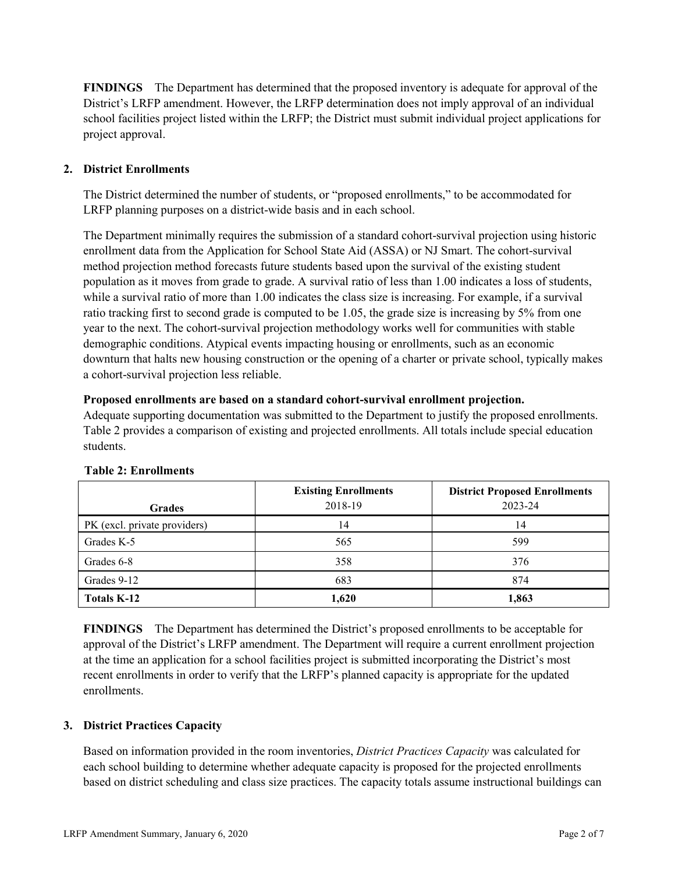**FINDINGS** The Department has determined that the proposed inventory is adequate for approval of the District's LRFP amendment. However, the LRFP determination does not imply approval of an individual school facilities project listed within the LRFP; the District must submit individual project applications for project approval.

# **2. District Enrollments**

The District determined the number of students, or "proposed enrollments," to be accommodated for LRFP planning purposes on a district-wide basis and in each school.

The Department minimally requires the submission of a standard cohort-survival projection using historic enrollment data from the Application for School State Aid (ASSA) or NJ Smart. The cohort-survival method projection method forecasts future students based upon the survival of the existing student population as it moves from grade to grade. A survival ratio of less than 1.00 indicates a loss of students, while a survival ratio of more than 1.00 indicates the class size is increasing. For example, if a survival ratio tracking first to second grade is computed to be 1.05, the grade size is increasing by 5% from one year to the next. The cohort-survival projection methodology works well for communities with stable demographic conditions. Atypical events impacting housing or enrollments, such as an economic downturn that halts new housing construction or the opening of a charter or private school, typically makes a cohort-survival projection less reliable.

#### **Proposed enrollments are based on a standard cohort-survival enrollment projection.**

Adequate supporting documentation was submitted to the Department to justify the proposed enrollments. Table 2 provides a comparison of existing and projected enrollments. All totals include special education students.

|                              | <b>Existing Enrollments</b> | <b>District Proposed Enrollments</b> |
|------------------------------|-----------------------------|--------------------------------------|
| <b>Grades</b>                | 2018-19                     | 2023-24                              |
| PK (excl. private providers) | 14                          | 14                                   |
| Grades K-5                   | 565                         | 599                                  |
| Grades 6-8                   | 358                         | 376                                  |
| Grades 9-12                  | 683                         | 874                                  |
| <b>Totals K-12</b>           | 1,620                       | 1,863                                |

#### **Table 2: Enrollments**

**FINDINGS** The Department has determined the District's proposed enrollments to be acceptable for approval of the District's LRFP amendment. The Department will require a current enrollment projection at the time an application for a school facilities project is submitted incorporating the District's most recent enrollments in order to verify that the LRFP's planned capacity is appropriate for the updated enrollments.

#### **3. District Practices Capacity**

Based on information provided in the room inventories, *District Practices Capacity* was calculated for each school building to determine whether adequate capacity is proposed for the projected enrollments based on district scheduling and class size practices. The capacity totals assume instructional buildings can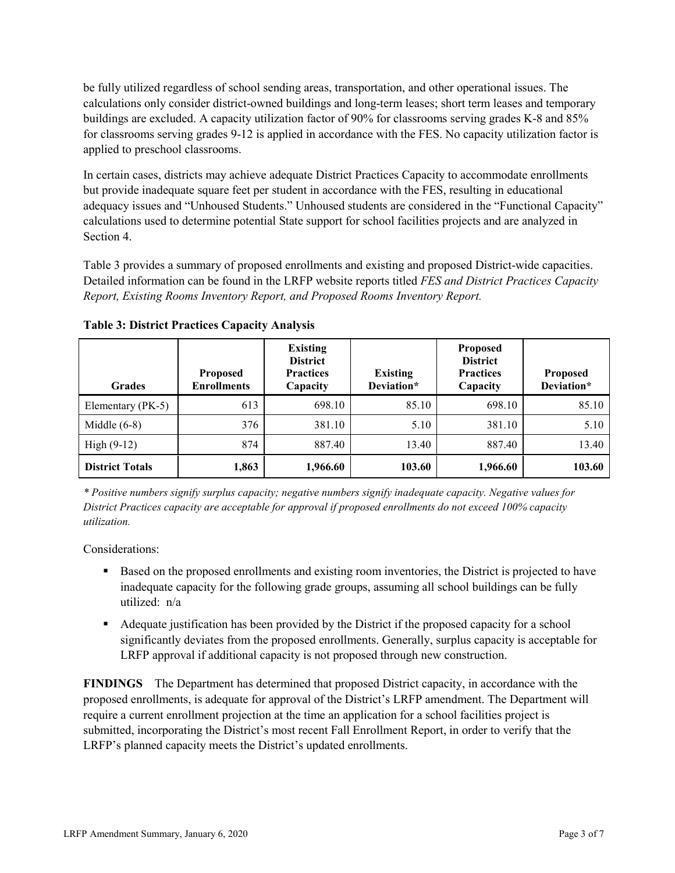be fully utilized regardless of school sending areas, transportation, and other operational issues. The calculations only consider district-owned buildings and long-term leases; short term leases and temporary buildings are excluded. A capacity utilization factor of 90% for classrooms serving grades K-8 and 85% for classrooms serving grades 9-12 is applied in accordance with the FES. No capacity utilization factor is applied to preschool classrooms.

In certain cases, districts may achieve adequate District Practices Capacity to accommodate enrollments but provide inadequate square feet per student in accordance with the FES, resulting in educational adequacy issues and "Unhoused Students." Unhoused students are considered in the "Functional Capacity" calculations used to determine potential State support for school facilities projects and are analyzed in Section 4.

Table 3 provides a summary of proposed enrollments and existing and proposed District-wide capacities. Detailed information can be found in the LRFP website reports titled *FES and District Practices Capacity Report, Existing Rooms Inventory Report, and Proposed Rooms Inventory Report.*

| <b>Grades</b>          | <b>Proposed</b><br><b>Enrollments</b> | <b>Existing</b><br><b>District</b><br><b>Practices</b><br>Capacity | <b>Existing</b><br>Deviation* | <b>Proposed</b><br><b>District</b><br><b>Practices</b><br>Capacity | <b>Proposed</b><br>Deviation* |
|------------------------|---------------------------------------|--------------------------------------------------------------------|-------------------------------|--------------------------------------------------------------------|-------------------------------|
| Elementary (PK-5)      | 613                                   | 698.10                                                             | 85.10                         | 698.10                                                             | 85.10                         |
| Middle $(6-8)$         | 376                                   | 381.10                                                             | 5.10                          | 381.10                                                             | 5.10                          |
| High $(9-12)$          | 874                                   | 887.40                                                             | 13.40                         | 887.40                                                             | 13.40                         |
| <b>District Totals</b> | 1,863                                 | 1,966.60                                                           | 103.60                        | 1,966.60                                                           | 103.60                        |

**Table 3: District Practices Capacity Analysis**

*\* Positive numbers signify surplus capacity; negative numbers signify inadequate capacity. Negative values for District Practices capacity are acceptable for approval if proposed enrollments do not exceed 100% capacity utilization.*

Considerations:

- **Based on the proposed enrollments and existing room inventories, the District is projected to have** inadequate capacity for the following grade groups, assuming all school buildings can be fully utilized: n/a
- Adequate justification has been provided by the District if the proposed capacity for a school significantly deviates from the proposed enrollments. Generally, surplus capacity is acceptable for LRFP approval if additional capacity is not proposed through new construction.

**FINDINGS**The Department has determined that proposed District capacity, in accordance with the proposed enrollments, is adequate for approval of the District's LRFP amendment. The Department will require a current enrollment projection at the time an application for a school facilities project is submitted, incorporating the District's most recent Fall Enrollment Report, in order to verify that the LRFP's planned capacity meets the District's updated enrollments.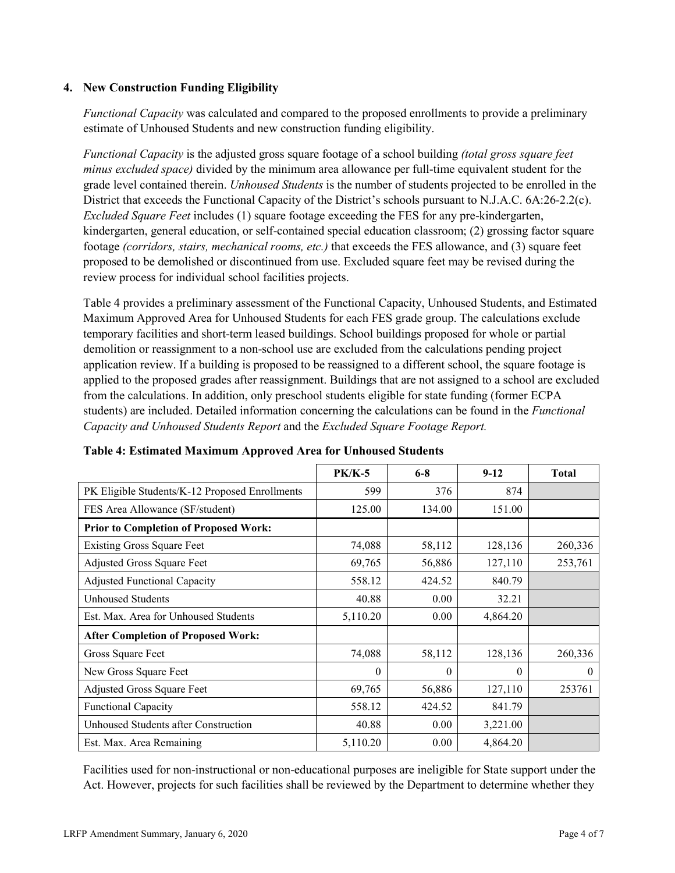### **4. New Construction Funding Eligibility**

*Functional Capacity* was calculated and compared to the proposed enrollments to provide a preliminary estimate of Unhoused Students and new construction funding eligibility.

*Functional Capacity* is the adjusted gross square footage of a school building *(total gross square feet minus excluded space)* divided by the minimum area allowance per full-time equivalent student for the grade level contained therein. *Unhoused Students* is the number of students projected to be enrolled in the District that exceeds the Functional Capacity of the District's schools pursuant to N.J.A.C. 6A:26-2.2(c). *Excluded Square Feet* includes (1) square footage exceeding the FES for any pre-kindergarten, kindergarten, general education, or self-contained special education classroom; (2) grossing factor square footage *(corridors, stairs, mechanical rooms, etc.)* that exceeds the FES allowance, and (3) square feet proposed to be demolished or discontinued from use. Excluded square feet may be revised during the review process for individual school facilities projects.

Table 4 provides a preliminary assessment of the Functional Capacity, Unhoused Students, and Estimated Maximum Approved Area for Unhoused Students for each FES grade group. The calculations exclude temporary facilities and short-term leased buildings. School buildings proposed for whole or partial demolition or reassignment to a non-school use are excluded from the calculations pending project application review. If a building is proposed to be reassigned to a different school, the square footage is applied to the proposed grades after reassignment. Buildings that are not assigned to a school are excluded from the calculations. In addition, only preschool students eligible for state funding (former ECPA students) are included. Detailed information concerning the calculations can be found in the *Functional Capacity and Unhoused Students Report* and the *Excluded Square Footage Report.*

|                                                | $PK/K-5$ | $6 - 8$  | $9 - 12$ | <b>Total</b> |
|------------------------------------------------|----------|----------|----------|--------------|
| PK Eligible Students/K-12 Proposed Enrollments | 599      | 376      | 874      |              |
| FES Area Allowance (SF/student)                | 125.00   | 134.00   | 151.00   |              |
| <b>Prior to Completion of Proposed Work:</b>   |          |          |          |              |
| <b>Existing Gross Square Feet</b>              | 74,088   | 58,112   | 128,136  | 260,336      |
| Adjusted Gross Square Feet                     | 69,765   | 56,886   | 127,110  | 253,761      |
| <b>Adjusted Functional Capacity</b>            | 558.12   | 424.52   | 840.79   |              |
| <b>Unhoused Students</b>                       | 40.88    | 0.00     | 32.21    |              |
| Est. Max. Area for Unhoused Students           | 5,110.20 | 0.00     | 4,864.20 |              |
| <b>After Completion of Proposed Work:</b>      |          |          |          |              |
| Gross Square Feet                              | 74,088   | 58,112   | 128,136  | 260,336      |
| New Gross Square Feet                          | $\theta$ | $\theta$ | $\theta$ | $\theta$     |
| Adjusted Gross Square Feet                     | 69,765   | 56,886   | 127,110  | 253761       |
| Functional Capacity                            | 558.12   | 424.52   | 841.79   |              |
| Unhoused Students after Construction           | 40.88    | 0.00     | 3,221.00 |              |
| Est. Max. Area Remaining                       | 5,110.20 | 0.00     | 4,864.20 |              |

**Table 4: Estimated Maximum Approved Area for Unhoused Students** 

Facilities used for non-instructional or non-educational purposes are ineligible for State support under the Act. However, projects for such facilities shall be reviewed by the Department to determine whether they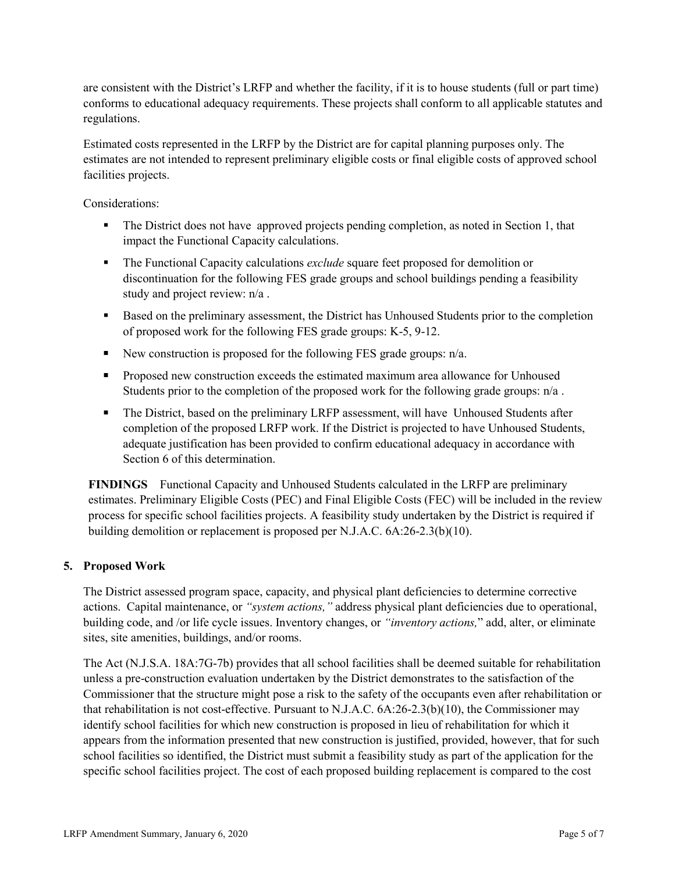are consistent with the District's LRFP and whether the facility, if it is to house students (full or part time) conforms to educational adequacy requirements. These projects shall conform to all applicable statutes and regulations.

Estimated costs represented in the LRFP by the District are for capital planning purposes only. The estimates are not intended to represent preliminary eligible costs or final eligible costs of approved school facilities projects.

Considerations:

- The District does not have approved projects pending completion, as noted in Section 1, that impact the Functional Capacity calculations.
- The Functional Capacity calculations *exclude* square feet proposed for demolition or discontinuation for the following FES grade groups and school buildings pending a feasibility study and project review: n/a .
- Based on the preliminary assessment, the District has Unhoused Students prior to the completion of proposed work for the following FES grade groups: K-5, 9-12.
- New construction is proposed for the following FES grade groups:  $n/a$ .
- **Proposed new construction exceeds the estimated maximum area allowance for Unhoused** Students prior to the completion of the proposed work for the following grade groups: n/a .
- The District, based on the preliminary LRFP assessment, will have Unhoused Students after completion of the proposed LRFP work. If the District is projected to have Unhoused Students, adequate justification has been provided to confirm educational adequacy in accordance with Section 6 of this determination.

**FINDINGS** Functional Capacity and Unhoused Students calculated in the LRFP are preliminary estimates. Preliminary Eligible Costs (PEC) and Final Eligible Costs (FEC) will be included in the review process for specific school facilities projects. A feasibility study undertaken by the District is required if building demolition or replacement is proposed per N.J.A.C. 6A:26-2.3(b)(10).

# **5. Proposed Work**

The District assessed program space, capacity, and physical plant deficiencies to determine corrective actions. Capital maintenance, or *"system actions,"* address physical plant deficiencies due to operational, building code, and /or life cycle issues. Inventory changes, or *"inventory actions,*" add, alter, or eliminate sites, site amenities, buildings, and/or rooms.

The Act (N.J.S.A. 18A:7G-7b) provides that all school facilities shall be deemed suitable for rehabilitation unless a pre-construction evaluation undertaken by the District demonstrates to the satisfaction of the Commissioner that the structure might pose a risk to the safety of the occupants even after rehabilitation or that rehabilitation is not cost-effective. Pursuant to N.J.A.C. 6A:26-2.3(b)(10), the Commissioner may identify school facilities for which new construction is proposed in lieu of rehabilitation for which it appears from the information presented that new construction is justified, provided, however, that for such school facilities so identified, the District must submit a feasibility study as part of the application for the specific school facilities project. The cost of each proposed building replacement is compared to the cost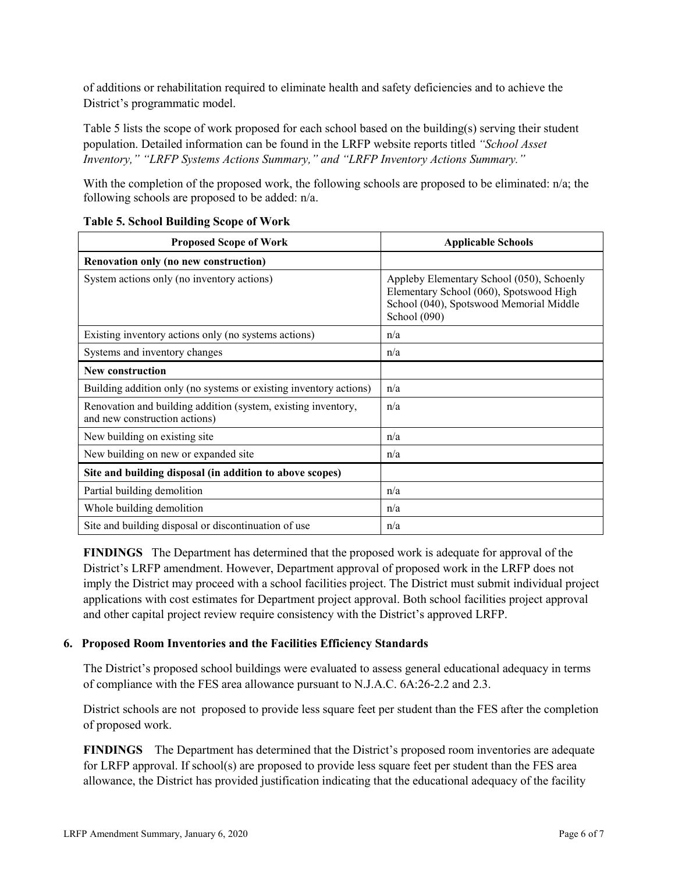of additions or rehabilitation required to eliminate health and safety deficiencies and to achieve the District's programmatic model.

Table 5 lists the scope of work proposed for each school based on the building(s) serving their student population. Detailed information can be found in the LRFP website reports titled *"School Asset Inventory," "LRFP Systems Actions Summary," and "LRFP Inventory Actions Summary."* 

With the completion of the proposed work, the following schools are proposed to be eliminated: n/a; the following schools are proposed to be added: n/a.

| <b>Proposed Scope of Work</b>                                                                  | <b>Applicable Schools</b>                                                                                                                       |
|------------------------------------------------------------------------------------------------|-------------------------------------------------------------------------------------------------------------------------------------------------|
| Renovation only (no new construction)                                                          |                                                                                                                                                 |
| System actions only (no inventory actions)                                                     | Appleby Elementary School (050), Schoenly<br>Elementary School (060), Spotswood High<br>School (040), Spotswood Memorial Middle<br>School (090) |
| Existing inventory actions only (no systems actions)                                           | n/a                                                                                                                                             |
| Systems and inventory changes                                                                  | n/a                                                                                                                                             |
| <b>New construction</b>                                                                        |                                                                                                                                                 |
| Building addition only (no systems or existing inventory actions)                              | n/a                                                                                                                                             |
| Renovation and building addition (system, existing inventory,<br>and new construction actions) | n/a                                                                                                                                             |
| New building on existing site                                                                  | n/a                                                                                                                                             |
| New building on new or expanded site                                                           | n/a                                                                                                                                             |
| Site and building disposal (in addition to above scopes)                                       |                                                                                                                                                 |
| Partial building demolition                                                                    | n/a                                                                                                                                             |
| Whole building demolition                                                                      | n/a                                                                                                                                             |
| Site and building disposal or discontinuation of use                                           | n/a                                                                                                                                             |

#### **Table 5. School Building Scope of Work**

**FINDINGS** The Department has determined that the proposed work is adequate for approval of the District's LRFP amendment. However, Department approval of proposed work in the LRFP does not imply the District may proceed with a school facilities project. The District must submit individual project applications with cost estimates for Department project approval. Both school facilities project approval and other capital project review require consistency with the District's approved LRFP.

# **6. Proposed Room Inventories and the Facilities Efficiency Standards**

The District's proposed school buildings were evaluated to assess general educational adequacy in terms of compliance with the FES area allowance pursuant to N.J.A.C. 6A:26-2.2 and 2.3.

District schools are not proposed to provide less square feet per student than the FES after the completion of proposed work.

**FINDINGS** The Department has determined that the District's proposed room inventories are adequate for LRFP approval. If school(s) are proposed to provide less square feet per student than the FES area allowance, the District has provided justification indicating that the educational adequacy of the facility